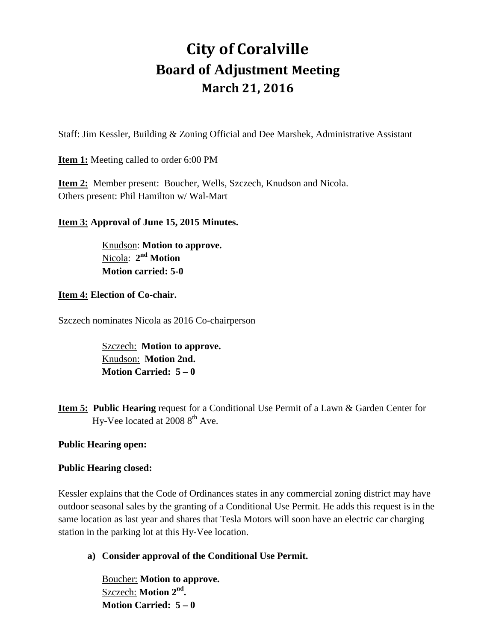# **City of Coralville Board of Adjustment Meeting March 21, 2016**

Staff: Jim Kessler, Building & Zoning Official and Dee Marshek, Administrative Assistant

# **Item 1:** Meeting called to order 6:00 PM

**Item 2:** Member present: Boucher, Wells, Szczech, Knudson and Nicola. Others present: Phil Hamilton w/ Wal-Mart

## **Item 3: Approval of June 15, 2015 Minutes.**

 Knudson: **Motion to approve.** Nicola: **2nd Motion Motion carried: 5-0** 

#### **Item 4: Election of Co-chair.**

Szczech nominates Nicola as 2016 Co-chairperson

Szczech: **Motion to approve.** Knudson: **Motion 2nd. Motion Carried: 5 – 0** 

**Item 5: Public Hearing** request for a Conditional Use Permit of a Lawn & Garden Center for Hy-Vee located at  $20088^{th}$  Ave.

#### **Public Hearing open:**

#### **Public Hearing closed:**

Kessler explains that the Code of Ordinances states in any commercial zoning district may have outdoor seasonal sales by the granting of a Conditional Use Permit. He adds this request is in the same location as last year and shares that Tesla Motors will soon have an electric car charging station in the parking lot at this Hy-Vee location.

**a) Consider approval of the Conditional Use Permit.**

Boucher: **Motion to approve.** Szczech: **Motion 2nd. Motion Carried: 5 – 0**